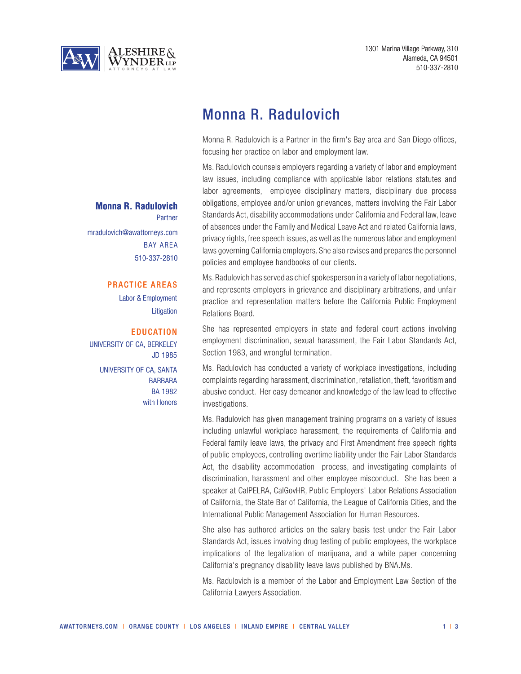

# Monna R. Radulovich

Monna R. Radulovich is a Partner in the firm's Bay area and San Diego offices, focusing her practice on labor and employment law.

Ms. Radulovich counsels employers regarding a variety of labor and employment law issues, including compliance with applicable labor relations statutes and labor agreements, employee disciplinary matters, disciplinary due process obligations, employee and/or union grievances, matters involving the Fair Labor Standards Act, disability accommodations under California and Federal law, leave of absences under the Family and Medical Leave Act and related California laws, privacy rights, free speech issues, as well as the numerous labor and employment laws governing California employers. She also revises and prepares the personnel policies and employee handbooks of our clients.

Ms. Radulovich has served as chief spokesperson in a variety of labor negotiations, and represents employers in grievance and disciplinary arbitrations, and unfair practice and representation matters before the California Public Employment Relations Board.

She has represented employers in state and federal court actions involving employment discrimination, sexual harassment, the Fair Labor Standards Act, Section 1983, and wrongful termination.

Ms. Radulovich has conducted a variety of workplace investigations, including complaints regarding harassment, discrimination, retaliation, theft, favoritism and abusive conduct. Her easy demeanor and knowledge of the law lead to effective investigations.

Ms. Radulovich has given management training programs on a variety of issues including unlawful workplace harassment, the requirements of California and Federal family leave laws, the privacy and First Amendment free speech rights of public employees, controlling overtime liability under the Fair Labor Standards Act, the disability accommodation process, and investigating complaints of discrimination, harassment and other employee misconduct. She has been a speaker at CalPELRA, CalGovHR, Public Employers' Labor Relations Association of California, the State Bar of California, the League of California Cities, and the International Public Management Association for Human Resources.

She also has authored articles on the salary basis test under the Fair Labor Standards Act, issues involving drug testing of public employees, the workplace implications of the legalization of marijuana, and a white paper concerning California's pregnancy disability leave laws published by BNA.Ms.

Ms. Radulovich is a member of the Labor and Employment Law Section of the California Lawyers Association.

### **Monna R. Radulovich**

Partner mradulovich@awattorneys.com BAY AREA 510-337-2810

### PRACTICE AREAS

Labor & Employment **Litigation** 

#### **EDUCATION**

UNIVERSITY OF CA, BERKELEY JD 1985

UNIVERSITY OF CA, SANTA BARBARA BA 1982 with Honors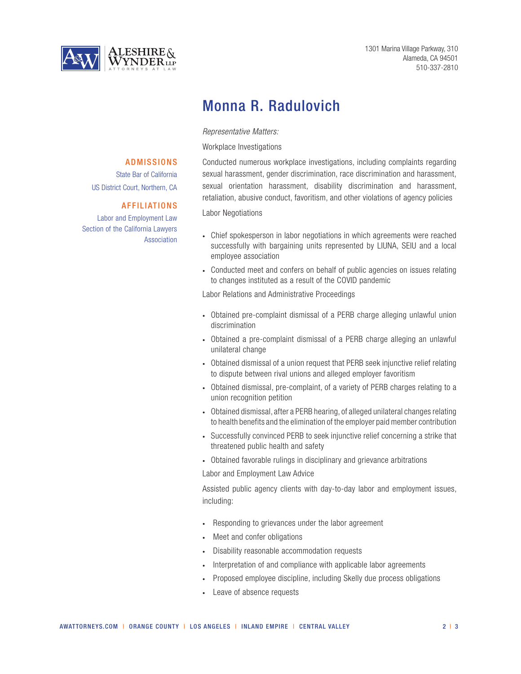

ADMISSIONS State Bar of California

AFFILIATIONS

Association

US District Court, Northern, CA

Labor and Employment Law Section of the California Lawyers  1301 Marina Village Parkway, 310 Alameda, CA 94501 510-337-2810

# Monna R. Radulovich

*Representative Matters:*

Workplace Investigations

Conducted numerous workplace investigations, including complaints regarding sexual harassment, gender discrimination, race discrimination and harassment, sexual orientation harassment, disability discrimination and harassment, retaliation, abusive conduct, favoritism, and other violations of agency policies

Labor Negotiations

- Chief spokesperson in labor negotiations in which agreements were reached successfully with bargaining units represented by LIUNA, SEIU and a local employee association
- Conducted meet and confers on behalf of public agencies on issues relating to changes instituted as a result of the COVID pandemic

Labor Relations and Administrative Proceedings

- Obtained pre-complaint dismissal of a PERB charge alleging unlawful union discrimination
- Obtained a pre-complaint dismissal of a PERB charge alleging an unlawful unilateral change
- Obtained dismissal of a union request that PERB seek injunctive relief relating to dispute between rival unions and alleged employer favoritism
- Obtained dismissal, pre-complaint, of a variety of PERB charges relating to a union recognition petition
- Obtained dismissal, after a PERB hearing, of alleged unilateral changes relating to health benefits and the elimination of the employer paid member contribution
- Successfully convinced PERB to seek injunctive relief concerning a strike that threatened public health and safety
- Obtained favorable rulings in disciplinary and grievance arbitrations

Labor and Employment Law Advice

Assisted public agency clients with day-to-day labor and employment issues, including:

- Responding to grievances under the labor agreement
- Meet and confer obligations
- Disability reasonable accommodation requests
- Interpretation of and compliance with applicable labor agreements
- Proposed employee discipline, including Skelly due process obligations
- Leave of absence requests